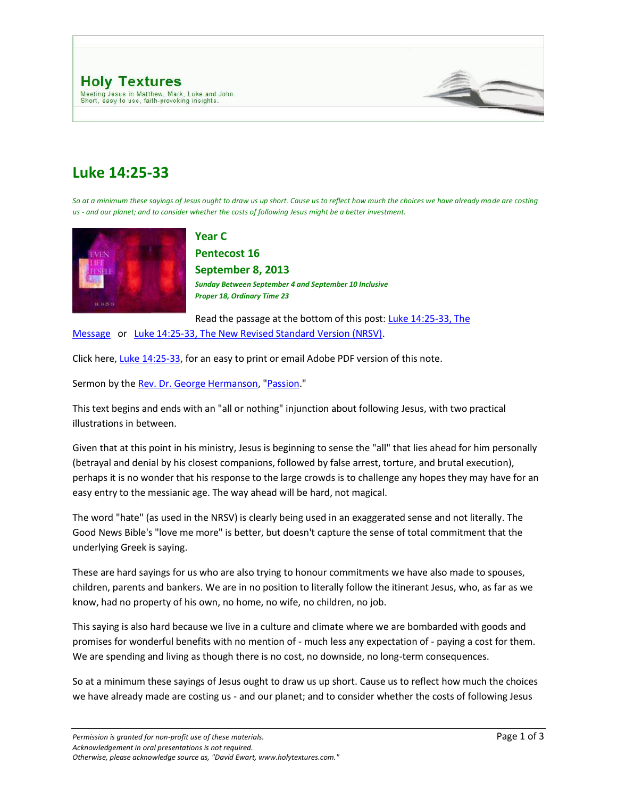

## **Luke 14:25-33**

*So at a minimum these sayings of Jesus ought to draw us up short. Cause us to reflect how much the choices we have already made are costing us - and our planet; and to consider whether the costs of following Jesus might be a better investment.*



**Year C**

**Pentecost 16 September 8, 2013** *Sunday Between September 4 and September 10 Inclusive Proper 18, Ordinary Time 23* 

Read the passage at the bottom of this post: [Luke 14:25-33, The](http://www.typepad.com/site/blogs/6a00d8345310da69e200d8347d353569e2/compose/preview/post#MSG) 

[Message](http://www.typepad.com/site/blogs/6a00d8345310da69e200d8347d353569e2/compose/preview/post#MSG) or [Luke 14:25-33, The New Revised Standard Version \(NRSV\).](http://www.typepad.com/site/blogs/6a00d8345310da69e200d8347d353569e2/compose/preview/post#NRSV)

Click here[, Luke 14:25-33,](http://www.holytextures.com/Luke-14-25-33.pdf) for an easy to print or email Adobe PDF version of this note.

Sermon by the [Rev. Dr. George Hermanson,](http://www.georgehermanson.com/) ["Passion.](http://www.georgehermanson.com/2010/08/passion-year-c-pentecost-september-4-september-10-sermon.html)"

This text begins and ends with an "all or nothing" injunction about following Jesus, with two practical illustrations in between.

Given that at this point in his ministry, Jesus is beginning to sense the "all" that lies ahead for him personally (betrayal and denial by his closest companions, followed by false arrest, torture, and brutal execution), perhaps it is no wonder that his response to the large crowds is to challenge any hopes they may have for an easy entry to the messianic age. The way ahead will be hard, not magical.

The word "hate" (as used in the NRSV) is clearly being used in an exaggerated sense and not literally. The Good News Bible's "love me more" is better, but doesn't capture the sense of total commitment that the underlying Greek is saying.

These are hard sayings for us who are also trying to honour commitments we have also made to spouses, children, parents and bankers. We are in no position to literally follow the itinerant Jesus, who, as far as we know, had no property of his own, no home, no wife, no children, no job.

This saying is also hard because we live in a culture and climate where we are bombarded with goods and promises for wonderful benefits with no mention of - much less any expectation of - paying a cost for them. We are spending and living as though there is no cost, no downside, no long-term consequences.

So at a minimum these sayings of Jesus ought to draw us up short. Cause us to reflect how much the choices we have already made are costing us - and our planet; and to consider whether the costs of following Jesus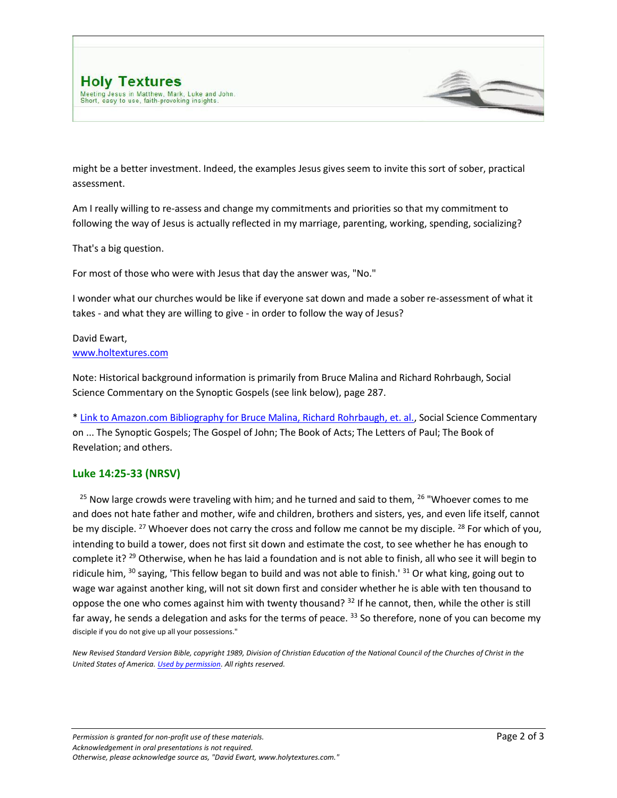might be a better investment. Indeed, the examples Jesus gives seem to invite this sort of sober, practical assessment.

Am I really willing to re-assess and change my commitments and priorities so that my commitment to following the way of Jesus is actually reflected in my marriage, parenting, working, spending, socializing?

That's a big question.

For most of those who were with Jesus that day the answer was, "No."

I wonder what our churches would be like if everyone sat down and made a sober re-assessment of what it takes - and what they are willing to give - in order to follow the way of Jesus?

## David Ewart, [www.holtextures.com](http://www.davidewart.ca/)

Note: Historical background information is primarily from Bruce Malina and Richard Rohrbaugh, Social Science Commentary on the Synoptic Gospels (see link below), page 287.

[\\* Link to Amazon.com Bibliography for Bruce Malina, Richard Rohrbaugh, et. al.,](http://www.amazon.com/Bruce-J.-Malina/e/B000APRY4A/ref=ntt_athr_dp_pel_1) Social Science Commentary on ... The Synoptic Gospels; The Gospel of John; The Book of Acts; The Letters of Paul; The Book of Revelation; and others.

## **Luke 14:25-33 (NRSV)**

<sup>25</sup> Now large crowds were traveling with him; and he turned and said to them, <sup>26</sup> "Whoever comes to me and does not hate father and mother, wife and children, brothers and sisters, yes, and even life itself, cannot be my disciple. <sup>27</sup> Whoever does not carry the cross and follow me cannot be my disciple. <sup>28</sup> For which of you, intending to build a tower, does not first sit down and estimate the cost, to see whether he has enough to complete it? <sup>29</sup> Otherwise, when he has laid a foundation and is not able to finish, all who see it will begin to ridicule him,  $30$  saying, 'This fellow began to build and was not able to finish.'  $31$  Or what king, going out to wage war against another king, will not sit down first and consider whether he is able with ten thousand to oppose the one who comes against him with twenty thousand?  $32$  If he cannot, then, while the other is still far away, he sends a delegation and asks for the terms of peace. <sup>33</sup> So therefore, none of you can become my disciple if you do not give up all your possessions."

*New Revised Standard Version Bible, copyright 1989, Division of Christian Education of the National Council of the Churches of Christ in the United States of America[. Used by permission.](http://www.ncccusa.org/newbtu/permiss.html) All rights reserved.*